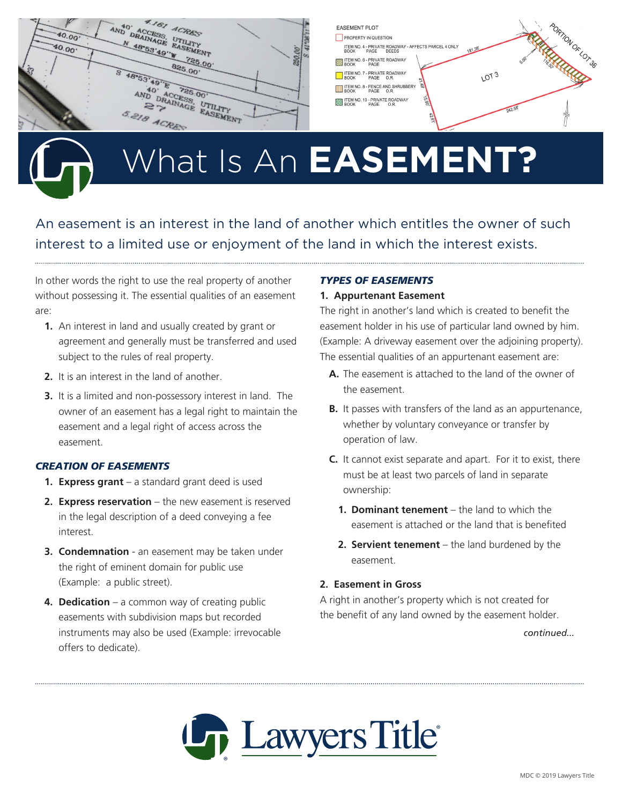

# What Is An **EASEMENT?**

An easement is an interest in the land of another which entitles the owner of such interest to a limited use or enjoyment of the land in which the interest exists.

In other words the right to use the real property of another without possessing it. The essential qualities of an easement are:

- **1.** An interest in land and usually created by grant or agreement and generally must be transferred and used subject to the rules of real property.
- **2.** It is an interest in the land of another.
- **3.** It is a limited and non-possessory interest in land. The owner of an easement has a legal right to maintain the easement and a legal right of access across the easement.

### *CREATION OF EASEMENTS*

- **1. Express grant** a standard grant deed is used
- **2. Express reservation** the new easement is reserved in the legal description of a deed conveying a fee interest.
- **3. Condemnation** an easement may be taken under the right of eminent domain for public use (Example: a public street).
- **4. Dedication** a common way of creating public easements with subdivision maps but recorded instruments may also be used (Example: irrevocable offers to dedicate).

### *TYPES OF EASEMENTS*

#### **1. Appurtenant Easement**

The right in another's land which is created to benefit the easement holder in his use of particular land owned by him. (Example: A driveway easement over the adjoining property). The essential qualities of an appurtenant easement are:

- **A.** The easement is attached to the land of the owner of the easement.
- **B.** It passes with transfers of the land as an appurtenance, whether by voluntary conveyance or transfer by operation of law.
- **C.** It cannot exist separate and apart. For it to exist, there must be at least two parcels of land in separate ownership:
	- **1. Dominant tenement** the land to which the easement is attached or the land that is benefited
	- **2. Servient tenement** the land burdened by the easement.

### **2. Easement in Gross**

A right in another's property which is not created for the benefit of any land owned by the easement holder.

*continued...*